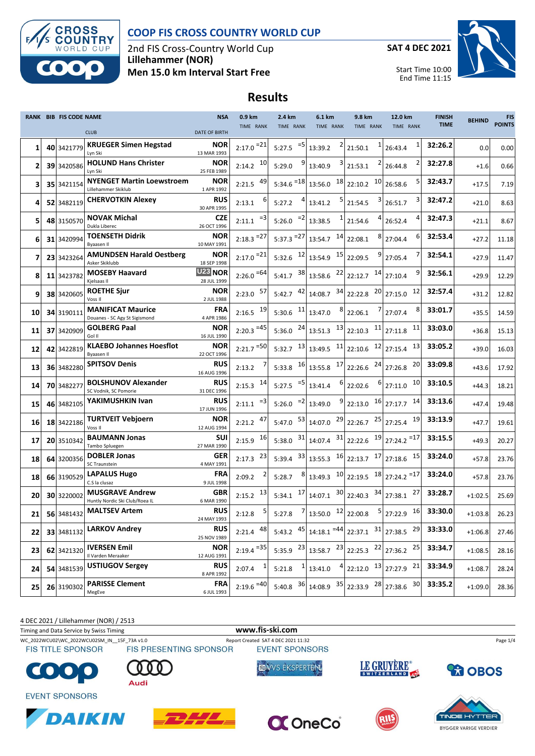

### **COOP FIS CROSS COUNTRY WORLD CUP**

2nd FIS Cross-Country World Cup **Lillehammer (NOR) Men 15.0 km Interval Start Free**

**SAT 4 DEC 2021**



Start Time 10:00 End Time 11:15

# **Results**

|    | RANK BIB FIS CODE NAME |                                                           | <b>NSA</b>                              | 0.9 km                 | 2.4 km                  | 6.1 km                          | 9.8 km                                                                                   | 12.0 km             | <b>FINISH</b> | <b>BEHIND</b> | <b>FIS</b>    |
|----|------------------------|-----------------------------------------------------------|-----------------------------------------|------------------------|-------------------------|---------------------------------|------------------------------------------------------------------------------------------|---------------------|---------------|---------------|---------------|
|    |                        | <b>CLUB</b>                                               | <b>DATE OF BIRTH</b>                    | TIME RANK              | TIME RANK               | TIME RANK                       | TIME RANK                                                                                | TIME RANK           | <b>TIME</b>   |               | <b>POINTS</b> |
| 1  | 40 3421779             | <b>KRUEGER Simen Hegstad</b><br>Lyn Ski                   | NOR<br>13 MAR 1993                      | $2:17.0 = 21$          | $=$ 5<br>5:27.5         | 13:39.2                         | 1<br>21:50.1                                                                             | 26:43.4             | 32:26.2       | 0.0           | 0.00          |
| 2  | 39 3420586             | <b>HOLUND Hans Christer</b><br>Lyn Ski                    | NOR<br>25 FEB 1989                      | $2:14.2$ <sup>10</sup> | 5:29.0                  | 13:40.9                         | 2<br>21:53.1                                                                             | 26:44.8             | 32:27.8       | $+1.6$        | 0.66          |
| 3  | 35 3421154             | <b>NYENGET Martin Loewstroem</b><br>Lillehammer Skiklub   | <b>NOR</b><br>1 APR 1992                | 49<br>2:21.5           | $5:34.6$ <sup>=18</sup> | 13:56.0                         | 10<br>$18$ 22:10.2                                                                       | 26:58.6             | 32:43.7       | $+17.5$       | 7.19          |
| 4  | 52 3482119             | <b>CHERVOTKIN Alexey</b>                                  | <b>RUS</b><br>30 APR 1995               | 2:13.1                 | 5:27.2                  | 13:41.2                         | 3<br>21:54.5                                                                             | 26:51.7             | 32:47.2       | $+21.0$       | 8.63          |
| 5  | 48 3150570             | <b>NOVAK Michal</b><br>Dukla Liberec                      | <b>CZE</b><br>26 OCT 1996               | $= 3$<br>2:11.1        | $=2$<br>5:26.0          | 13:38.5                         | 21:54.6                                                                                  | 26:52.4             | 32:47.3       | $+21.1$       | 8.67          |
| 6  | 31 3420994             | <b>TOENSETH Didrik</b><br><b>Byaasen II</b>               | <b>NOR</b><br>10 MAY 1991               | $2:18.3 = 27$          | $5:37.3 = 27$           | 13:54.7 14                      | 8<br>22:08.1                                                                             | 6<br>27:04.4        | 32:53.4       | $+27.2$       | 11.18         |
| 7  | 23 3423264             | <b>AMUNDSEN Harald Oestberg</b><br>Asker Skiklubb         | NOR<br>18 SEP 1998                      | $2:17.0 = 21$          | $5:32.6$ $12$           | 13:54.9 15 22:09.5              | 9                                                                                        | 27:05.4             | 32:54.1       | $+27.9$       | 11.47         |
| 8  | 11 3423782             | <b>MOSEBY Haavard</b><br>Kjelsaas Il                      | U <sub>23</sub> NOR                     | $2:26.0 = 64$          | 38<br>5:41.7            | 13:58.6                         | $22$ 22:12.7<br>14                                                                       | 27:10.4             | 32:56.1       | $+29.9$       | 12.29         |
| 9  | 38 3420605             | <b>ROETHE Sjur</b><br>Voss II                             | 28 JUL 1999<br><b>NOR</b><br>2 JUL 1988 | $2:23.0$ 57            | 42<br>5:42.7            | 14:08.7 34 22:22.8              | 20                                                                                       | 12<br>27:15.0       | 32:57.4       | $+31.2$       | 12.82         |
| 10 | 34 3190111             | <b>MANIFICAT Maurice</b><br>Douanes - SC Agy St Sigismond | <b>FRA</b><br>4 APR 1986                | $2:16.5$ $19$          | 11<br>5:30.6            | 13:47.0                         | 22:06.1                                                                                  | 8<br>27:07.4        | 33:01.7       | $+35.5$       | 14.59         |
| 11 | 37 3420909             | <b>GOLBERG Paal</b><br>Gol II                             | NOR<br>16 JUL 1990                      | $2:20.3 = 45$          | 24<br>5:36.0            | $13:51.3$ <sup>13</sup>         | 11<br>22:10.3                                                                            | 11<br>27:11.8       | 33:03.0       | $+36.8$       | 15.13         |
| 12 | 42 3422819             | <b>KLAEBO Johannes Hoesflot</b><br><b>Byaasen II</b>      | NOR<br>22 OCT 1996                      | $2:21.7 = 50$          | 5:32.7 $13$             | $13:49.5$ <sup>11</sup> 22:10.6 |                                                                                          | $12$ 27:15.4<br>13  | 33:05.2       | $+39.0$       | 16.03         |
| 13 | 36 3482280             | <b>SPITSOV Denis</b>                                      | <b>RUS</b><br>16 AUG 1996               | 2:13.2                 | 5:33.8                  | $16$ 13:55.8 $17$ 22:26.6       |                                                                                          | 20<br>$24$ 27:26.8  | 33:09.8       | $+43.6$       | 17.92         |
| 14 | 70 348227              | <b>BOLSHUNOV Alexander</b><br>SC Vodnik, SC Pomorie       | <b>RUS</b><br>31 DEC 1996               | 14<br>2:15.3           | $=$ 5<br>5:27.5         | 6<br>13:41.4                    | 22:02.6                                                                                  | 10<br>$6$   27:11.0 | 33:10.5       | $+44.3$       | 18.21         |
| 15 | 46 3482105             | YAKIMUSHKIN Ivan                                          | <b>RUS</b><br>17 JUN 1996               | $= 3$<br>2:11.1        | $=2$<br>5:26.0          | 9<br>13:49.0                    | $22:13.0$ $16$ 27:17.7                                                                   | 14                  | 33:13.6       | $+47.4$       | 19.48         |
| 16 | 18 3422186             | <b>TURTVEIT Vebjoern</b><br>Voss II                       | <b>NOR</b><br>12 AUG 1994               | 47<br>2:21.2           | 53<br>5:47.0            | 14:07.0 29 22:26.7              | 25                                                                                       | 19<br>27:25.4       | 33:13.9       | $+47.7$       | 19.61         |
| 17 | 20 3510342             | <b>BAUMANN Jonas</b><br>Tambo Spluegen                    | <b>SUI</b><br>27 MAR 1990               | $2:15.9$ 16            | 31<br>5:38.0            | $14:07.4$ $31$ 22:22.6          |                                                                                          | $19$ 27:24.2 = 17   | 33:15.5       | $+49.3$       | 20.27         |
| 18 | 64 3200356             | <b>DOBLER Jonas</b><br>SC Traunstein                      | <b>GER</b><br>4 MAY 1991                | 23<br>2:17.3           | 5:39.4                  | $33$ 13:55.3 $16$ 22:13.7       |                                                                                          | 17 27:18.6<br>15    | 33:24.0       | $+57.8$       | 23.76         |
| 18 | 66 3190529             | <b>LAPALUS Hugo</b><br>C.S la clusaz                      | <b>FRA</b><br>9 JUL 1998                | 2:09.2                 | 5:28.7                  |                                 | 13:49.3 $10\overline{\smash{\big)}\ 22:19.5}$ $18\overline{\smash{\big)}\ 27:24.2}$ = 17 |                     | 33:24.0       | $+57.8$       | 23.76         |
| 20 | 30 3220002             | <b>MUSGRAVE Andrew</b><br>Huntly Nordic Ski Club/Roea IL  | <b>GBR</b><br>6 MAR 1990                | 13<br>2:15.2           | $5:34.1$ 17             | $14:07.1$ $30$ 22:40.3          |                                                                                          | 27<br>$34$ 27:38.1  | 33:28.7       | $+1:02.5$     | 25.69         |
| 21 | 56 3481432             | <b>MALTSEV Artem</b>                                      | <b>RUS</b><br>24 MAY 1993               | 5<br>2:12.8            | 5:27.8                  |                                 |                                                                                          | $5$ 27:22.9 16      | 33:30.0       | $+1:03.8$     | 26.23         |
| 22 | 33 3481132             | <b>LARKOV Andrey</b>                                      | <b>RUS</b><br>25 NOV 1989               | $2:21.4$ $48$          | 45<br>5:43.2            |                                 | $14:18.1$ = 44 22:37.1 $31$ 27:38.5                                                      | 29                  | 33:33.0       | $+1:06.8$     | 27.46         |
| 23 | 62 3421320             | <b>IVERSEN Emil</b><br>Il Varden Meraaker                 | <b>NOR</b><br>12 AUG 1991               | $2:19.4 = 35$          | 23<br>5:35.9            |                                 | $13:58.7$ $23$ 22:25.3 $22$ 27:36.2                                                      | 25                  | 33:34.7       | $+1:08.5$     | 28.16         |
| 24 | 54 3481539             | <b>USTIUGOV Sergey</b>                                    | <b>RUS</b><br>8 APR 1992                | 2:07.4                 | 5:21.8                  | 13:41.0                         | $22:12.0$ $13$ 27:27.9                                                                   | 21                  | 33:34.9       | $+1:08.7$     | 28.24         |
| 25 | 26 3190302             | <b>PARISSE Clement</b><br>MegEve                          | <b>FRA</b><br>6 JUL 1993                | $2:19.6 = 40$          | 36<br>5:40.8            | 14:08.9 35                      | 22:33.9 28 27:38.6                                                                       | 30                  | 33:35.2       | $+1:09.0$     | 28.36         |

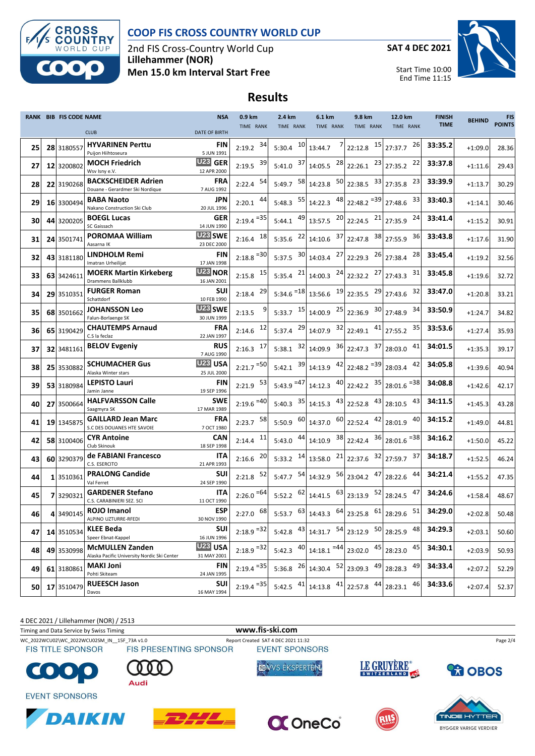

### **COOP FIS CROSS COUNTRY WORLD CUP**

2nd FIS Cross-Country World Cup **Lillehammer (NOR) Men 15.0 km Interval Start Free**

**SAT 4 DEC 2021**



Start Time 10:00 End Time 11:15

# **Results**

|    | <b>RANK BIB FIS CODE NAME</b> |                                                                       | <b>NSA</b>                         | 0.9 km                  | 2.4 km         | 6.1 km                                                                                                                  | 9.8 km        | 12.0 km                  | <b>FINISH</b> | <b>BEHIND</b> | <b>FIS</b>    |
|----|-------------------------------|-----------------------------------------------------------------------|------------------------------------|-------------------------|----------------|-------------------------------------------------------------------------------------------------------------------------|---------------|--------------------------|---------------|---------------|---------------|
|    |                               | <b>CLUB</b>                                                           | <b>DATE OF BIRTH</b>               | TIME RANK               | TIME RANK      | TIME RANK                                                                                                               | TIME RANK     | TIME RANK                | <b>TIME</b>   |               | <b>POINTS</b> |
| 25 | 28 3180557                    | <b>HYVARINEN Perttu</b><br>Puijon Hiihtoseura                         | FIN<br>5 JUN 1991                  | 34<br>2:19.2            | $5:30.4$ 10    | 7<br>13:44.7                                                                                                            | 15<br>22:12.8 | 26<br>27:37.7            | 33:35.2       | $+1:09.0$     | 28.36         |
| 27 | 12 3200802                    | <b>MOCH Friedrich</b><br>Wsv Isny e.V.                                | U <sub>23</sub> GER<br>12 APR 2000 | 39<br>2:19.5            | $5:41.0$ 37    | $14:05.5$ $^{28}$ 22:26.1                                                                                               | 23            | 22<br>27:35.2            | 33:37.8       | $+1:11.6$     | 29.43         |
| 28 | 22 3190268                    | <b>BACKSCHEIDER Adrien</b><br>Douane - Gerardmer Ski Nordique         | <b>FRA</b><br>7 AUG 1992           | 54<br>2:22.4            |                | 5:49.7 $\begin{array}{ c c c c c } \hline 58 & 14:23.8 & \hline \end{array}$ 22:38.5                                    | 33            | 23<br>27:35.8            | 33:39.9       | $+1:13.7$     | 30.29         |
| 29 | 16 3300494                    | <b>BABA Naoto</b><br>Nakano Construction Ski Club                     | <b>JPN</b><br>20 JUL 1996          | 44<br>2:20.1            |                | 5:48.3 $\begin{array}{ c c c c c c c c } \hline 5:48.3 & 55 & 14:22.3 & 48 & 22:48.2 & 53 & 27:48.6 \hline \end{array}$ |               | 33                       | 33:40.3       | $+1:14.1$     | 30.46         |
| 30 | 44 3200205                    | <b>BOEGL Lucas</b><br>SC Gaissach                                     | <b>GER</b><br>14 JUN 1990          | $2:19.4 = 35$           | $5:44.1$ 49    | $13:57.5$ $^{20}$ 22:24.5 $^{21}$                                                                                       |               | 24<br>27:35.9            | 33:41.4       | $+1:15.2$     | 30.91         |
| 31 | 24 3501741                    | POROMAA William<br>Aasarna IK                                         | U <sub>23</sub> SWE<br>23 DEC 2000 | $2:16.4$ 18             | 5:35.6 $^{22}$ | $14:10.6$ $37$ 22:47.8                                                                                                  | 38            | 36<br>27:55.9            | 33:43.8       | $+1:17.6$     | 31.90         |
| 32 | 43 3181180                    | LINDHOLM Remi<br>Imatran Urheilijat                                   | <b>FIN</b><br>17 JAN 1998          | $2:18.8$ <sup>=30</sup> |                | 5:37.5 $30 \begin{bmatrix} 3.30 \\ 14:03.4 \end{bmatrix}$ 22:29.3                                                       | 26            | 28<br>27:38.4            | 33:45.4       | $+1:19.2$     | 32.56         |
| 33 | 63 3424611                    | <b>MOERK Martin Kirkeberg</b><br>Drammens Ballklubb                   | U <sub>23</sub> NOR<br>16 JAN 2001 | 15<br>2:15.8            |                | 5:35.4 $^{21}$ 14:00.3 $^{24}$ 22:32.2                                                                                  | 27            | 31<br>27:43.3            | 33:45.8       | $+1:19.6$     | 32.72         |
| 34 | 29 3510351                    | <b>FURGER Roman</b><br>Schattdorf                                     | <b>SUI</b><br>10 FEB 1990          | 29<br>2:18.4            |                | $5:34.6$ <sup>=18</sup> 13:56.6 <sup>19</sup> 22:35.5                                                                   | 29            | 32<br>27:43.6            | 33:47.0       | $+1:20.8$     | 33.21         |
| 35 | 68 3501662                    | <b>JOHANSSON Leo</b><br>Falun-Borlaenge SK                            | U <sub>23</sub> SWE<br>30 JUN 1999 | 9<br>2:13.5             |                | 5:33.7 $15 \begin{array}{ c c c c } \hline 14:00.9 & 25 \end{array}$ 22:36.9                                            | 30            | 34<br>27:48.9            | 33:50.9       | $+1:24.7$     | 34.82         |
| 36 | 65 3190429                    | <b>CHAUTEMPS Arnaud</b><br>C.S la feclaz                              | <b>FRA</b><br>22 JAN 1997          | 12<br>2:14.6            | $5:37.4$ 29    | $14:07.9$ $32$ 22:49.1                                                                                                  | 41            | 35<br>27:55.2            | 33:53.6       | $+1:27.4$     | 35.93         |
| 37 | 32 3481161                    | <b>BELOV Evgeniy</b>                                                  | <b>RUS</b><br>7 AUG 1990           | $2:16.3$ 17             | $5:38.1$ 32    | $14:09.9$ $36$ 22:47.3                                                                                                  | 37            | 41<br>28:03.0            | 34:01.5       | $+1:35.3$     | 39.17         |
| 38 | 25 3530882                    | <b>SCHUMACHER Gus</b><br>Alaska Winter stars                          | U <sub>23</sub> USA<br>25 JUL 2000 | $2:21.7$ <sup>=50</sup> | 5:42.1         | $39 14:13.9$ $42 22:48.2$ = 39                                                                                          |               | 42<br>28:03.4            | 34:05.8       | $+1:39.6$     | 40.94         |
| 39 | 53 3180984                    | <b>LEPISTO Lauri</b><br>Jamin Janne                                   | <b>FIN</b><br>19 SEP 1996          | $2:21.9$ 53             |                | 5:43.9 $=$ 47 14:12.3 40 22:42.2 $35$ 28:01.6 $=$ 38                                                                    |               |                          | 34:08.8       | $+1:42.6$     | 42.17         |
| 40 | 27 3500664                    | <b>HALFVARSSON Calle</b><br>Saagmyra SK                               | <b>SWE</b><br>17 MAR 1989          | $2:19.6 = 40$           |                | 5:40.3 $35 \begin{array}{ c c c c c } \hline 35 & 14:15.3 & 43 \end{array}$ 22:52.8 $43$                                |               | 43<br>28:10.5            | 34:11.5       | $+1:45.3$     | 43.28         |
| 41 | 19 1345875                    | <b>GAILLARD Jean Marc</b><br>S.C DES DOUANES HTE SAVOIE               | <b>FRA</b><br>7 OCT 1980           | $2:23.7$ 58             | 5:50.9 60      | 14:37.0 60                                                                                                              | 42<br>22:52.4 | 40<br>28:01.9            | 34:15.2       | $+1:49.0$     | 44.81         |
| 42 | 58 3100406                    | <b>CYR Antoine</b><br>Club Skinouk                                    | CAN<br>18 SEP 1998                 | $2:14.4$ <sup>11</sup>  | $5:43.0$ 44    | 14:10.9 38                                                                                                              | 36<br>22:42.4 | $28:01.6$ <sup>=38</sup> | 34:16.2       | $+1:50.0$     | 45.22         |
| 43 | 60 3290379                    | de FABIANI Francesco<br>C.S. ESERCITO                                 | ITA<br>21 APR 1993                 | 20<br>2:16.6            |                | 5:33.2 $14 \begin{array}{ c c } 13:58.0 & 21 \end{array}$ 22:37.6                                                       |               | 32 27:59.7<br>37         | 34:18.7       | $+1:52.5$     | 46.24         |
| 44 | 1 3510361                     | <b>PRALONG Candide</b><br>Val Ferret                                  | <b>SUI</b><br>24 SEP 1990          | 52<br>2:21.8            | $5:47.7$ 54    | $14:32.9$ $56$ 23:04.2                                                                                                  | 47            | 44<br>28:22.6            | 34:21.4       | $+1:55.2$     | 47.35         |
| 45 | 73290321                      | <b>GARDENER Stefano</b><br>C.S. CARABINIERI SEZ. SCI                  | <b>ITA</b><br>11 OCT 1990          | $2:26.0 = 64$           | $5:52.2$ 62    | $14:41.5$ $63$ 23:13.9                                                                                                  | 52            | 47<br>28:24.5            | 34:24.6       | $+1:58.4$     | 48.67         |
| 46 | 4 3490145                     | ROJO Imanol<br>ALPINO UZTURRE-RFEDI                                   | ESP<br>30 NOV 1990                 |                         |                |                                                                                                                         |               |                          | 34:29.0       | $+2:02.8$     | 50.48         |
| 47 | 14 3510534                    | <b>KLEE Beda</b><br>Speer Ebnat-Kappel                                | <b>SUI</b><br>16 JUN 1996          | $2:18.9$ <sup>=32</sup> | 5:42.8 $43$    | $14:31.7$ $54$ 23:12.9                                                                                                  |               | 50 28:25.9<br>48         | 34:29.3       | $+2:03.1$     | 50.60         |
| 48 | 49 3530998                    | <b>McMULLEN Zanden</b><br>Alaska Pacific University Nordic Ski Center | U <sub>23</sub> USA<br>31 MAY 2001 | $2:18.9 = 32$           | $5:42.3$ $40$  | $14:18.1$ <sup>=44</sup> 23:02.0                                                                                        | 45            | 45<br>28:23.0            | 34:30.1       | $+2:03.9$     | 50.93         |
| 49 | 61 3180861                    | <b>MAKI Joni</b><br>Pohti Skiteam                                     | <b>FIN</b><br>24 JAN 1995          | $2:19.4$ <sup>=35</sup> |                | 5:36.8 $^{26}$ 14:30.4 $^{52}$ 23:09.3                                                                                  | 49            | 49<br>28:28.3            | 34:33.4       | $+2:07.2$     | 52.29         |
| 50 | 17 3510479                    | <b>RUEESCH Jason</b><br>Davos                                         | <b>SUI</b><br>16 MAY 1994          | $2:19.4 = 35$           | 5:42.5 $^{41}$ | 41<br>14:13.8                                                                                                           | 44<br>22:57.8 | 46<br>28:23.1            | 34:33.6       | $+2:07.4$     | 52.37         |



**BYGGER VARIGE VERDIER** 



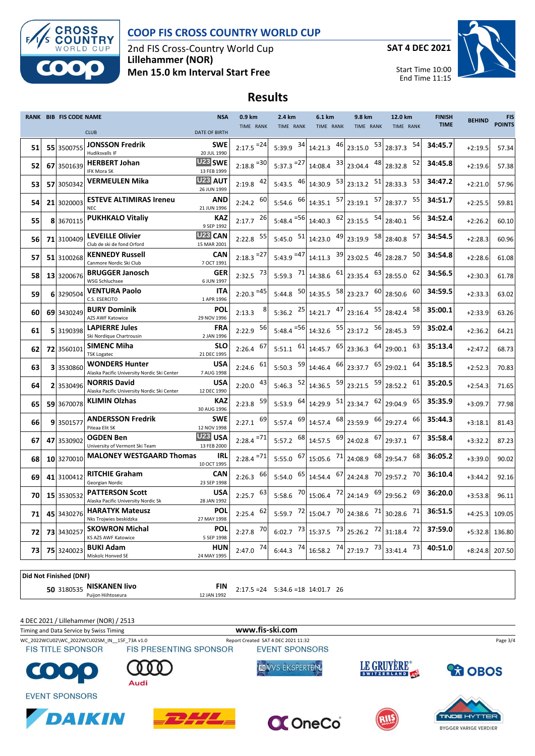

#### **COOP FIS CROSS COUNTRY WORLD CUP**

2nd FIS Cross-Country World Cup **Lillehammer (NOR) Men 15.0 km Interval Start Free**

**SAT 4 DEC 2021**



Start Time 10:00 End Time 11:15

### **Results**

|    |    | <b>RANK BIB FIS CODE NAME</b> |                                                                      | <b>NSA</b>                         | 0.9 km                  | 2.4 km                  | 6.1 km                                                                                    | 9.8 km             | 12.0 km       | <b>FINISH</b> | <b>BEHIND</b> | <b>FIS</b>    |
|----|----|-------------------------------|----------------------------------------------------------------------|------------------------------------|-------------------------|-------------------------|-------------------------------------------------------------------------------------------|--------------------|---------------|---------------|---------------|---------------|
|    |    |                               | <b>CLUB</b>                                                          | <b>DATE OF BIRTH</b>               | TIME RANK               | TIME RANK               | TIME RANK                                                                                 | TIME RANK          | TIME RANK     | <b>TIME</b>   |               | <b>POINTS</b> |
| 51 |    | 55 3500755                    | <b>JONSSON Fredrik</b><br><b>Hudiksvalls IF</b>                      | <b>SWE</b><br>20 JUL 1990          | $2:17.5 = 24$           | 5:39.9 $34$             | 14:21.3 46                                                                                | 53<br>23:15.0      | 54<br>28:37.3 | 34:45.7       | $+2:19.5$     | 57.34         |
| 52 |    | 67 3501639                    | <b>HERBERT Johan</b><br>IFK Mora SK                                  | U <sub>23</sub> SWE<br>13 FEB 1999 | $2:18.8$ <sup>=30</sup> | $5:37.3$ <sup>=27</sup> | 33<br>14:08.4                                                                             | 48<br>23:04.4      | 52<br>28:32.8 | 34:45.8       | $+2:19.6$     | 57.38         |
| 53 |    | 57 3050342                    | <b>VERMEULEN Mika</b>                                                | U <sub>23</sub> AUT<br>26 JUN 1999 | 42<br>2:19.8            | 5:43.5 $^{46}$          | 14:30.9 53                                                                                | 51<br>23:13.2      | 53<br>28:33.3 | 34:47.2       | $+2:21.0$     | 57.96         |
| 54 |    | 21 3020003                    | <b>ESTEVE ALTIMIRAS Ireneu</b><br><b>NEC</b>                         | AND<br>21 JUN 1996                 | 60<br>2:24.2            |                         | 5:54.6 $\begin{array}{ c c c c c } \hline 66 & 14:35.1 & 57 & 23:19.1 \hline \end{array}$ | 57                 | 55<br>28:37.7 | 34:51.7       | $+2:25.5$     | 59.81         |
| 55 |    | 8 3670115                     | <b>PUKHKALO Vitaliy</b>                                              | <b>KAZ</b><br>9 SEP 1992           | 26<br>2:17.7            | $5:48.4 = 56$           | 14:40.3                                                                                   | 54<br>$62$ 23:15.5 | 56<br>28:40.1 | 34:52.4       | $+2:26.2$     | 60.10         |
| 56 |    | 71 3100409                    | <b>LEVEILLE Olivier</b><br>Club de ski de fond Orford                | U <sub>23</sub> CAN<br>15 MAR 2001 | 55<br>2:22.8            | 51<br>5:45.0            | 14:23.0                                                                                   | 58<br>49 23:19.9   | 57<br>28:40.8 | 34:54.5       | $+2:28.3$     | 60.96         |
| 57 |    | 51 3100268                    | <b>KENNEDY Russell</b><br>Canmore Nordic Ski Club                    | <b>CAN</b><br>7 OCT 1991           | $2:18.3 = 27$           | $5:43.9 = 47$           | 14:11.3                                                                                   | 39 23:02.5<br>46   | 50<br>28:28.7 | 34:54.8       | $+2:28.6$     | 61.08         |
| 58 |    | 13 3200676                    | <b>BRUGGER Janosch</b><br><b>WSG Schluchsee</b>                      | <b>GER</b><br>6 JUN 1997           | $2:32.5$ 73             | 5:59.3 71               | $14:38.6$ $61$ 23:35.4                                                                    | 63                 | 62<br>28:55.0 | 34:56.5       | $+2:30.3$     | 61.78         |
| 59 |    | 6 3290504                     | <b>VENTURA Paolo</b><br>C.S. ESERCITO                                | <b>ITA</b><br>1 APR 1996           | $2:20.3 = 45$           | 50<br>5:44.8            | 58<br>14:35.5                                                                             | 60<br>23:23.7      | 60<br>28:50.6 | 34:59.5       | $+2:33.3$     | 63.02         |
| 60 |    | 69 3430249                    | <b>BURY Dominik</b><br>AZS AWF Katowice                              | POL<br>29 NOV 1996                 | 8<br>2:13.3             | 25<br>5:36.2            | 47<br>14:21.7                                                                             | 55<br>23:16.4      | 58<br>28:42.4 | 35:00.1       | $+2:33.9$     | 63.26         |
| 61 |    | 5 3190398                     | <b>LAPIERRE Jules</b><br>Ski Nordique Chartrousin                    | <b>FRA</b><br>2 JAN 1996           | 56<br>2:22.9            | $5:48.4$ <sup>=56</sup> | 55<br>14:32.6                                                                             | 56<br>23:17.2      | 59<br>28:45.3 | 35:02.4       | $+2:36.2$     | 64.21         |
| 62 |    | 72 3560101                    | <b>SIMENC Miha</b><br><b>TSK Logatec</b>                             | <b>SLO</b><br>21 DEC 1995          | 67<br>2:26.4            | 61<br>5:51.1            | 65<br>14:45.7                                                                             | 64<br>23:36.3      | 63<br>29:00.1 | 35:13.4       | $+2:47.2$     | 68.73         |
| 63 |    | 3 3530860                     | <b>WONDERS Hunter</b><br>Alaska Pacific University Nordic Ski Center | <b>USA</b><br>7 AUG 1998           | 61<br>2:24.6            | 59<br>5:50.3            | 66<br>14:46.4                                                                             | 65<br>23:37.7      | 64<br>29:02.1 | 35:18.5       | $+2:52.3$     | 70.83         |
| 64 | 21 | 3530496                       | <b>NORRIS David</b><br>Alaska Pacific University Nordic Ski Center   | <b>USA</b><br>12 DEC 1990          | 43<br>2:20.0            | 52<br>5:46.3            | 59<br>14:36.5                                                                             | 59<br>23:21.5      | 61<br>28:52.2 | 35:20.5       | $+2:54.3$     | 71.65         |
| 65 |    | 59 3670078                    | <b>KLIMIN Olzhas</b>                                                 | <b>KAZ</b><br>30 AUG 1996          | 59<br>2:23.8            | 5:53.9 $64$             | 14:29.9 51                                                                                | 62<br>23:34.7      | 65<br>29:04.9 | 35:35.9       | $+3:09.7$     | 77.98         |
| 66 |    | 93501577                      | <b>ANDERSSON Fredrik</b><br>Piteaa Elit SK                           | <b>SWE</b><br>12 NOV 1998          | 69<br>2:27.1            | 5:57.4 69               | 68<br>14:57.4                                                                             | 66<br>23:59.9      | 66<br>29:27.4 | 35:44.3       | $+3:18.1$     | 81.43         |
| 67 |    | 47 3530902                    | <b>OGDEN Ben</b><br>University of Vermont Ski Team                   | U <sub>23</sub> USA<br>13 FEB 2000 | $2:28.4$ <sup>=71</sup> | 5:57.2 68               | 14:57.5 69                                                                                | 67<br>24:02.8      | 67<br>29:37.1 | 35:58.4       | $+3:32.2$     | 87.23         |
| 68 |    | 10 3270010                    | <b>MALONEY WESTGAARD Thomas</b>                                      | IRL<br>10 OCT 1995                 | $2:28.4 = 71$           | $5:55.0$ 67             | 15:05.6 71                                                                                | 68<br>24:08.9      | 68<br>29:54.7 | 36:05.2       | $+3:39.0$     | 90.02         |
| 69 |    | 41 3100412                    | <b>RITCHIE Graham</b><br>Georgian Nordic                             | <b>CAN</b><br>23 SEP 1998          | 66<br>2:26.3            | 65<br>5:54.0            | 14:54.4 67                                                                                | 70<br>24:24.8      | 70<br>29:57.2 | 36:10.4       | $+3:44.2$     | 92.16         |
| 70 |    | 15 3530532                    | <b>PATTERSON Scott</b><br>Alaska Pacific University Nordic Sk        | <b>USA</b><br>28 JAN 1992          | 63<br>2:25.7            | 70<br>5:58.6            | 72<br>15:06.4                                                                             | 69<br>24:14.9      | 69<br>29:56.2 | 36:20.0       | $+3:53.8$     | 96.11         |
| 71 |    | 45 3430276                    | <b>HARATYK Mateusz</b><br>Nks Trojwies beskidzka                     | POL<br>27 MAY 1998                 | 62<br>2:25.4            | 72<br>5:59.7            | 70<br>15:04.7                                                                             | 71<br>24:38.6      | 71<br>30:28.6 | 36:51.5       | $+4:25.3$     | 109.05        |
| 72 |    | 73 3430257                    | <b>SKOWRON Michal</b><br><b>KS AZS AWF Katowice</b>                  | POL<br>5 SEP 1998                  | 70<br>2:27.8            | 73<br>6:02.7            | 73<br>15:37.5                                                                             | 72<br>25:26.2      | 72<br>31:18.4 | 37:59.0       | $+5:32.8$     | 136.80        |
| 73 |    | 75 3240023                    | <b>BUKI Adam</b><br>Miskolc Honved SE                                | <b>HUN</b><br>24 MAY 1995          | 74<br>2:47.0            | 74<br>6:44.3            | 74<br>16:58.2                                                                             | 73<br>27:19.7      | 73<br>33:41.4 | 40:51.0       | $+8:24.8$     | 207.50        |

**Did Not Finished (DNF)**

**50** 3180535 **NISKANEN livo FIN** 2:17.5 =24 5:34.6 =18 14:01.7 26<br>12 JAN 1992 12:17.5 =24 5:34.6 =18 14:01.7 26

4 DEC 2021 / Lillehammer (NOR) / 2513